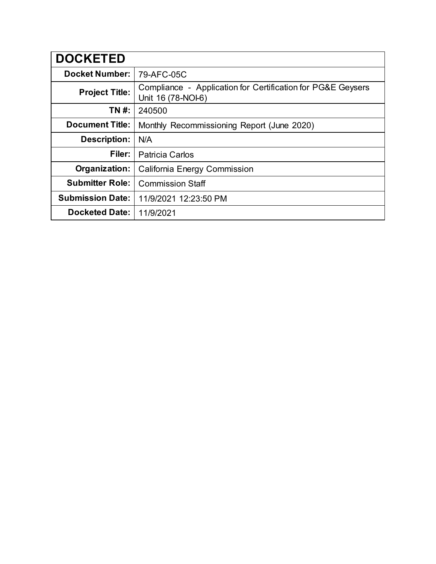| <b>DOCKETED</b>         |                                                                                   |
|-------------------------|-----------------------------------------------------------------------------------|
| <b>Docket Number:</b>   | 79-AFC-05C                                                                        |
| <b>Project Title:</b>   | Compliance - Application for Certification for PG&E Geysers<br>Unit 16 (78-NOI-6) |
| TN #:                   | 240500                                                                            |
| <b>Document Title:</b>  | Monthly Recommissioning Report (June 2020)                                        |
| <b>Description:</b>     | N/A                                                                               |
| Filer:                  | <b>Patricia Carlos</b>                                                            |
| Organization:           | <b>California Energy Commission</b>                                               |
| <b>Submitter Role:</b>  | <b>Commission Staff</b>                                                           |
| <b>Submission Date:</b> | 11/9/2021 12:23:50 PM                                                             |
| <b>Docketed Date:</b>   | 11/9/2021                                                                         |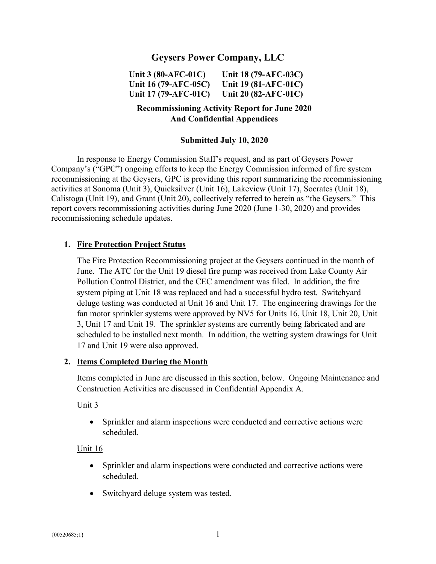# **Geysers Power Company, LLC**

**Unit 3 (80-AFC-01C) Unit 16 (79-AFC-05C) Unit 17 (79-AFC-01C) Unit 18 (79-AFC-03C) Unit 19 (81-AFC-01C) Unit 20 (82-AFC-01C)** 

## **Recommissioning Activity Report for June 2020 And Confidential Appendices**

#### **Submitted July 10, 2020**

In response to Energy Commission Staff's request, and as part of Geysers Power Company's ("GPC") ongoing efforts to keep the Energy Commission informed of fire system recommissioning at the Geysers, GPC is providing this report summarizing the recommissioning activities at Sonoma (Unit 3), Quicksilver (Unit 16), Lakeview (Unit 17), Socrates (Unit 18), Calistoga (Unit 19), and Grant (Unit 20), collectively referred to herein as "the Geysers." This report covers recommissioning activities during June 2020 (June 1-30, 2020) and provides recommissioning schedule updates.

#### **1. Fire Protection Project Status**

The Fire Protection Recommissioning project at the Geysers continued in the month of June. The ATC for the Unit 19 diesel fire pump was received from Lake County Air Pollution Control District, and the CEC amendment was filed. In addition, the fire system piping at Unit 18 was replaced and had a successful hydro test. Switchyard deluge testing was conducted at Unit 16 and Unit 17. The engineering drawings for the fan motor sprinkler systems were approved by NV5 for Units 16, Unit 18, Unit 20, Unit 3, Unit 17 and Unit 19. The sprinkler systems are currently being fabricated and are scheduled to be installed next month. In addition, the wetting system drawings for Unit 17 and Unit 19 were also approved.

#### **2. Items Completed During the Month**

Items completed in June are discussed in this section, below. Ongoing Maintenance and Construction Activities are discussed in Confidential Appendix A.

#### Unit 3

 Sprinkler and alarm inspections were conducted and corrective actions were scheduled.

#### Unit 16

- Sprinkler and alarm inspections were conducted and corrective actions were scheduled.
- Switchyard deluge system was tested.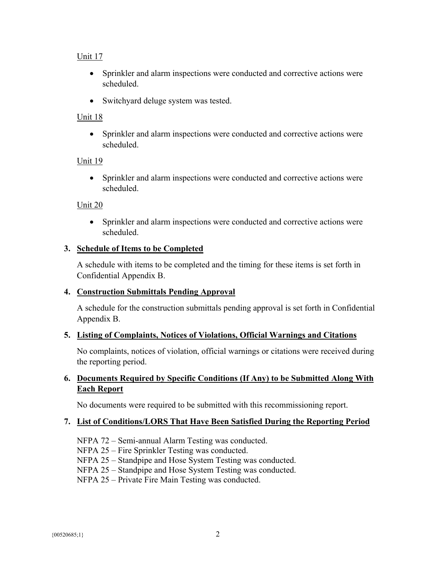## Unit 17

- Sprinkler and alarm inspections were conducted and corrective actions were scheduled.
- Switchyard deluge system was tested.

### Unit 18

 Sprinkler and alarm inspections were conducted and corrective actions were scheduled.

#### Unit 19

 Sprinkler and alarm inspections were conducted and corrective actions were scheduled.

### Unit 20

 Sprinkler and alarm inspections were conducted and corrective actions were scheduled.

### **3. Schedule of Items to be Completed**

A schedule with items to be completed and the timing for these items is set forth in Confidential Appendix B.

#### **4. Construction Submittals Pending Approval**

A schedule for the construction submittals pending approval is set forth in Confidential Appendix B.

#### **5. Listing of Complaints, Notices of Violations, Official Warnings and Citations**

No complaints, notices of violation, official warnings or citations were received during the reporting period.

## **6. Documents Required by Specific Conditions (If Any) to be Submitted Along With Each Report**

No documents were required to be submitted with this recommissioning report.

#### **7. List of Conditions/LORS That Have Been Satisfied During the Reporting Period**

- NFPA 72 Semi-annual Alarm Testing was conducted.
- NFPA 25 Fire Sprinkler Testing was conducted.

NFPA 25 – Standpipe and Hose System Testing was conducted.

- NFPA 25 Standpipe and Hose System Testing was conducted.
- NFPA 25 Private Fire Main Testing was conducted.